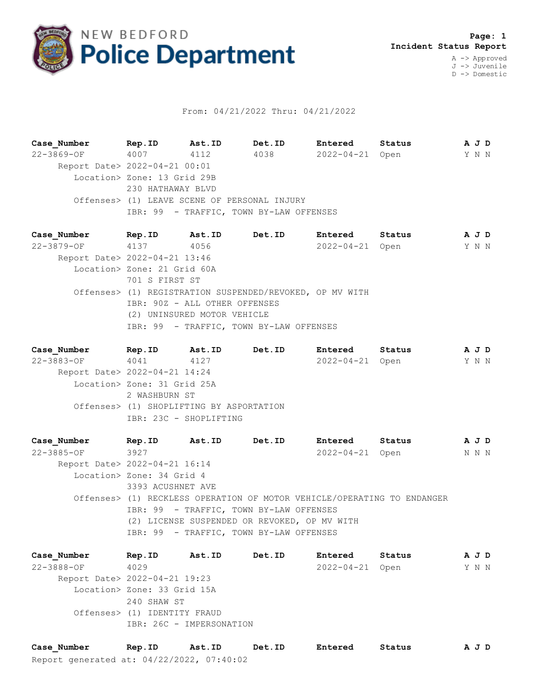

## From: 04/21/2022 Thru: 04/21/2022

**Case\_Number Rep.ID Ast.ID Det.ID Entered Status A J D** 22-3869-OF 4007 4112 4038 2022-04-21 Open Y N N Report Date> 2022-04-21 00:01 Location> Zone: 13 Grid 29B 230 HATHAWAY BLVD Offenses> (1) LEAVE SCENE OF PERSONAL INJURY IBR: 99 - TRAFFIC, TOWN BY-LAW OFFENSES

**Case\_Number Rep.ID Ast.ID Det.ID Entered Status A J D** 22-3879-OF 4137 4056 2022-04-21 Open Y N N Report Date> 2022-04-21 13:46 Location> Zone: 21 Grid 60A 701 S FIRST ST Offenses> (1) REGISTRATION SUSPENDED/REVOKED, OP MV WITH IBR: 90Z - ALL OTHER OFFENSES (2) UNINSURED MOTOR VEHICLE IBR: 99 - TRAFFIC, TOWN BY-LAW OFFENSES

**Case\_Number Rep.ID Ast.ID Det.ID Entered Status A J D** 22-3883-OF 4041 4127 2022-04-21 Open Y N N Report Date> 2022-04-21 14:24 Location> Zone: 31 Grid 25A 2 WASHBURN ST Offenses> (1) SHOPLIFTING BY ASPORTATION IBR: 23C - SHOPLIFTING

**Case\_Number Rep.ID Ast.ID Det.ID Entered Status A J D** 22-3885-OF 3927 2022-04-21 Open N N N Report Date> 2022-04-21 16:14 Location> Zone: 34 Grid 4 3393 ACUSHNET AVE Offenses> (1) RECKLESS OPERATION OF MOTOR VEHICLE/OPERATING TO ENDANGER IBR: 99 - TRAFFIC, TOWN BY-LAW OFFENSES (2) LICENSE SUSPENDED OR REVOKED, OP MV WITH IBR: 99 - TRAFFIC, TOWN BY-LAW OFFENSES

**Case\_Number Rep.ID Ast.ID Det.ID Entered Status A J D** 22-3888-OF 4029 2022-04-21 Open Y N N Report Date> 2022-04-21 19:23 Location> Zone: 33 Grid 15A 240 SHAW ST Offenses> (1) IDENTITY FRAUD IBR: 26C - IMPERSONATION

Report generated at: 04/22/2022, 07:40:02 **Case\_Number Rep.ID Ast.ID Det.ID Entered Status A J D**